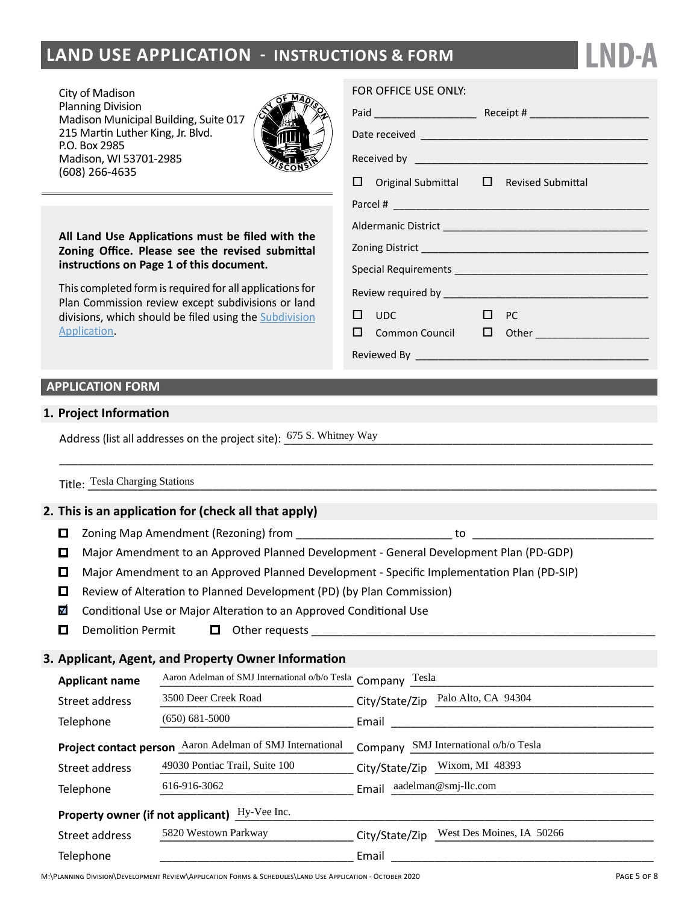# **LAND USE APPLICATION - INSTRUCTIONS & FORM**

City of Madison Planning Division Madison Municipal Building, Suite 017 215 Martin Luther King, Jr. Blvd. P.O. Box 2985 Madison, WI 53701-2985 (608) 266-4635



**All Land Use Applications must be filed with the Zoning Office. Please see the revised submittal instructions on Page 1 of this document.**

This completed form is required for all applications for Plan Commission review except subdivisions or land divisions, which should be filed using the [Subdivision](http://www.cityofmadison.com/development-services-center/documents/SubdivisionApplication.pdf) [Application.](http://www.cityofmadison.com/development-services-center/documents/SubdivisionApplication.pdf)

#### FOR OFFICE USE ONLY:

|  | $\Box$ Original Submittal $\Box$ Revised Submittal |  |                                          |  |  |  |
|--|----------------------------------------------------|--|------------------------------------------|--|--|--|
|  |                                                    |  |                                          |  |  |  |
|  |                                                    |  |                                          |  |  |  |
|  |                                                    |  |                                          |  |  |  |
|  |                                                    |  |                                          |  |  |  |
|  |                                                    |  |                                          |  |  |  |
|  | $\Box$ PC<br>$\square$ $\square$                   |  |                                          |  |  |  |
|  |                                                    |  | $\square$ Common Council $\square$ Other |  |  |  |
|  |                                                    |  |                                          |  |  |  |

**LND-A**

#### **APPLICATION FORM**

#### **1. Project Information**

Address (list all addresses on the project site):  $\frac{675 \text{ S.}$  Whitney Way

Title: Tesla Charging Stations (and the contract of the contract of the contract of the contract of the contract of the contract of the contract of the contract of the contract of the contract of the contract of the contra

#### **2. This is an application for (check all that apply)**

- □ Zoning Map Amendment (Rezoning) from \_\_\_\_\_\_\_\_\_\_\_\_\_\_\_\_\_\_\_\_\_\_\_\_\_\_\_\_\_\_\_\_\_\_\_ to
- $\Box$ Major Amendment to an Approved Planned Development - General Development Plan (PD-GDP)

\_\_\_\_\_\_\_\_\_\_\_\_\_\_\_\_\_\_\_\_\_\_\_\_\_\_\_\_\_\_\_\_\_\_\_\_\_\_\_\_\_\_\_\_\_\_\_\_\_\_\_\_\_\_\_\_\_\_\_\_\_\_\_\_\_\_\_\_\_\_\_\_\_\_\_\_\_\_\_\_\_\_\_\_\_\_\_\_\_\_\_\_\_\_\_

- $\Box$ Major Amendment to an Approved Planned Development - Specific Implementation Plan (PD-SIP)
- Review of Alteration to Planned Development (PD) (by Plan Commission)
- $\blacktriangledown$ Conditional Use or Major Alteration to an Approved Conditional Use
- $\Box$ Demolition Permit  $\Box$  Other requests  $\Box$

#### **3. Applicant, Agent, and Property Owner Information**

| <b>Applicant name</b>                         | Aaron Adelman of SMJ International o/b/o Tesla Company<br>Tesla |                                             |  |  |  |  |  |
|-----------------------------------------------|-----------------------------------------------------------------|---------------------------------------------|--|--|--|--|--|
| Street address                                | 3500 Deer Creek Road                                            | Palo Alto, CA 94304<br>City/State/Zip       |  |  |  |  |  |
| Telephone                                     | $(650) 681 - 5000$                                              | Email                                       |  |  |  |  |  |
| <b>Project contact person</b>                 | Aaron Adelman of SMJ International                              | SMJ International o/b/o Tesla<br>Company    |  |  |  |  |  |
| Street address                                | 49030 Pontiac Trail, Suite 100                                  | City/State/Zip Wixom, MI 48393              |  |  |  |  |  |
| Telephone                                     | 616-916-3062                                                    | aadelman@smj-llc.com<br>Email               |  |  |  |  |  |
| Property owner (if not applicant) Hy-Vee Inc. |                                                                 |                                             |  |  |  |  |  |
| Street address                                | 5820 Westown Parkway                                            | West Des Moines, IA 50266<br>City/State/Zip |  |  |  |  |  |
| Telephone                                     |                                                                 | Email                                       |  |  |  |  |  |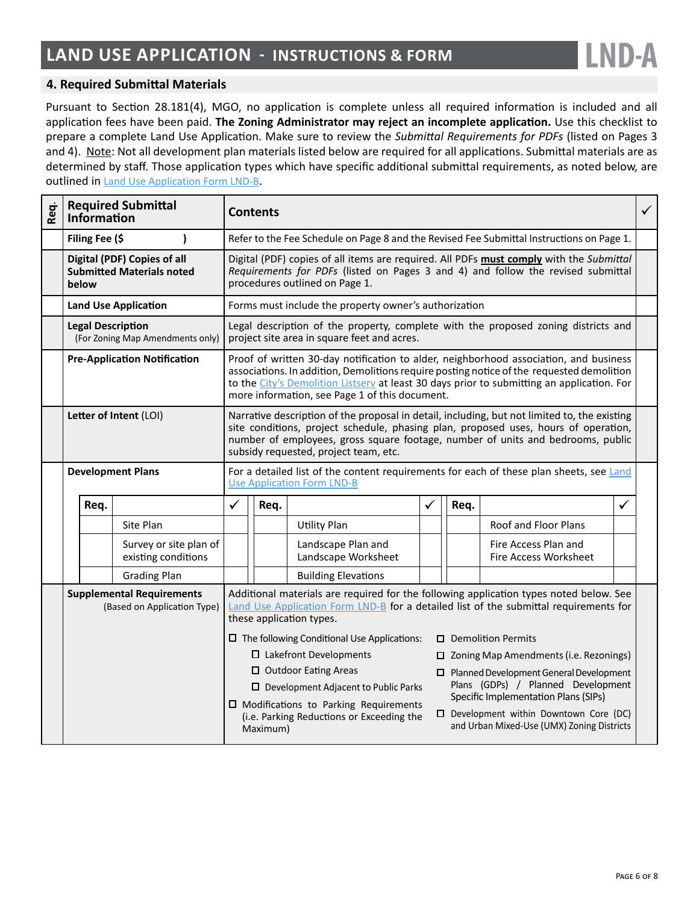

#### **4. Required Submittal Materials**

Pursuant to Section 28.181(4), MGO, no application is complete unless all required information is included and all application fees have been paid. **The Zoning Administrator may reject an incomplete application.** Use this checklist to prepare a complete Land Use Application. Make sure to review the *Submittal Requirements for PDFs* (listed on Pages 3 and 4). Note: Not all development plan materials listed below are required for all applications. Submittal materials are as determined by staff. Those application types which have specific additional submittal requirements, as noted below, are outlined in [Land Use Application Form LND-B](https://www.cityofmadison.com/dpced/bi/documents/LUAChecklist.pdf).

| Req. | Information                                                              | <b>Required Submittal</b>                     | <b>Contents</b>                                                                                                                                                                                             |                                                                                                                                                                                                                                                                                                                                    |                                           |                                                                                               | $\checkmark$                                      |                                               |   |  |
|------|--------------------------------------------------------------------------|-----------------------------------------------|-------------------------------------------------------------------------------------------------------------------------------------------------------------------------------------------------------------|------------------------------------------------------------------------------------------------------------------------------------------------------------------------------------------------------------------------------------------------------------------------------------------------------------------------------------|-------------------------------------------|-----------------------------------------------------------------------------------------------|---------------------------------------------------|-----------------------------------------------|---|--|
|      | Filing Fee (\$                                                           |                                               |                                                                                                                                                                                                             | Refer to the Fee Schedule on Page 8 and the Revised Fee Submittal Instructions on Page 1.                                                                                                                                                                                                                                          |                                           |                                                                                               |                                                   |                                               |   |  |
|      | Digital (PDF) Copies of all<br><b>Submitted Materials noted</b><br>below |                                               |                                                                                                                                                                                                             | Digital (PDF) copies of all items are required. All PDFs must comply with the Submittal<br>Requirements for PDFs (listed on Pages 3 and 4) and follow the revised submittal<br>procedures outlined on Page 1.                                                                                                                      |                                           |                                                                                               |                                                   |                                               |   |  |
|      |                                                                          | <b>Land Use Application</b>                   |                                                                                                                                                                                                             | Forms must include the property owner's authorization                                                                                                                                                                                                                                                                              |                                           |                                                                                               |                                                   |                                               |   |  |
|      | <b>Legal Description</b><br>(For Zoning Map Amendments only)             |                                               |                                                                                                                                                                                                             | Legal description of the property, complete with the proposed zoning districts and<br>project site area in square feet and acres.                                                                                                                                                                                                  |                                           |                                                                                               |                                                   |                                               |   |  |
|      | <b>Pre-Application Notification</b>                                      |                                               |                                                                                                                                                                                                             | Proof of written 30-day notification to alder, neighborhood association, and business<br>associations. In addition, Demolitions require posting notice of the requested demolition<br>to the City's Demolition Listsery at least 30 days prior to submitting an application. For<br>more information, see Page 1 of this document. |                                           |                                                                                               |                                                   |                                               |   |  |
|      | Letter of Intent (LOI)                                                   |                                               |                                                                                                                                                                                                             | Narrative description of the proposal in detail, including, but not limited to, the existing<br>site conditions, project schedule, phasing plan, proposed uses, hours of operation,<br>number of employees, gross square footage, number of units and bedrooms, public<br>subsidy requested, project team, etc.                    |                                           |                                                                                               |                                                   |                                               |   |  |
|      | <b>Development Plans</b>                                                 |                                               | For a detailed list of the content requirements for each of these plan sheets, see Land<br><b>Use Application Form LND-B</b>                                                                                |                                                                                                                                                                                                                                                                                                                                    |                                           |                                                                                               |                                                   |                                               |   |  |
|      | Req.                                                                     |                                               | ✓                                                                                                                                                                                                           | Req.                                                                                                                                                                                                                                                                                                                               |                                           | ✓                                                                                             | Req.                                              |                                               | ✓ |  |
|      |                                                                          | Site Plan                                     |                                                                                                                                                                                                             |                                                                                                                                                                                                                                                                                                                                    | <b>Utility Plan</b>                       |                                                                                               |                                                   | Roof and Floor Plans                          |   |  |
|      |                                                                          | Survey or site plan of<br>existing conditions |                                                                                                                                                                                                             |                                                                                                                                                                                                                                                                                                                                    | Landscape Plan and<br>Landscape Worksheet |                                                                                               |                                                   | Fire Access Plan and<br>Fire Access Worksheet |   |  |
|      |                                                                          | <b>Grading Plan</b>                           |                                                                                                                                                                                                             |                                                                                                                                                                                                                                                                                                                                    | <b>Building Elevations</b>                |                                                                                               |                                                   |                                               |   |  |
|      | <b>Supplemental Requirements</b><br>(Based on Application Type)          |                                               | Additional materials are required for the following application types noted below. See<br>Land Use Application Form LND-B for a detailed list of the submittal requirements for<br>these application types. |                                                                                                                                                                                                                                                                                                                                    |                                           |                                                                                               |                                                   |                                               |   |  |
|      |                                                                          |                                               | $\square$ The following Conditional Use Applications:<br>$\Box$ Demolition Permits                                                                                                                          |                                                                                                                                                                                                                                                                                                                                    |                                           |                                                                                               |                                                   |                                               |   |  |
|      |                                                                          |                                               | □ Lakefront Developments                                                                                                                                                                                    |                                                                                                                                                                                                                                                                                                                                    |                                           |                                                                                               | $\Box$ Zoning Map Amendments (i.e. Rezonings)     |                                               |   |  |
|      |                                                                          |                                               | □ Outdoor Eating Areas                                                                                                                                                                                      |                                                                                                                                                                                                                                                                                                                                    |                                           |                                                                                               | $\square$ Planned Development General Development |                                               |   |  |
|      |                                                                          |                                               | Plans (GDPs) / Planned Development<br>$\Box$ Development Adjacent to Public Parks<br>Specific Implementation Plans (SIPs)                                                                                   |                                                                                                                                                                                                                                                                                                                                    |                                           |                                                                                               |                                                   |                                               |   |  |
|      |                                                                          |                                               | □ Modifications to Parking Requirements<br>(i.e. Parking Reductions or Exceeding the<br>Maximum)                                                                                                            |                                                                                                                                                                                                                                                                                                                                    |                                           | $\square$ Development within Downtown Core (DC)<br>and Urban Mixed-Use (UMX) Zoning Districts |                                                   |                                               |   |  |